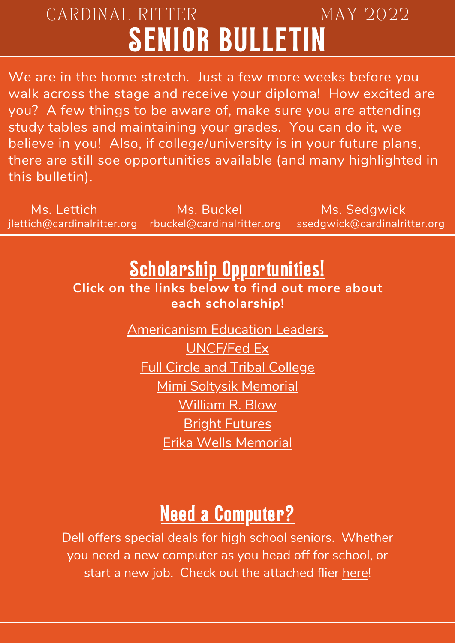## CARDINAL RITTER MAY 2022 SENIOR BULLETIN

We are in the home stretch. Just a few more weeks before you walk across the stage and receive your diploma! How excited are you? A few things to be aware of, make sure you are attending study tables and maintaining your grades. You can do it, we believe in you! Also, if college/university is in your future plans, there are still soe opportunities available (and many highlighted in this bulletin).

Ms. Lettich Ms. Buckel Ms. Buckel<br>
ich@cardinalritter.org rbuckel@cardinalritter.org ssedgwick@cardinalritter.org jlettich@cardinalritter.org rbuckel@cardinalritter.org

## **Scholarship Opportunities!**

**Click on the links below to find out more about each scholarship!**

> [Americanism](https://app.goingmerry.com/scholarships/americanism-education-leaders-essay-contest/7262) Education Leader[s](https://app.goingmerry.com/scholarships/americanism-education-leaders-essay-contest/7262) [UNCF/Fed](https://app.goingmerry.com/scholarships/uncffedex-scholarship/7519) Ex Full Circle and Tribal [College](https://app.goingmerry.com/scholarships/full-circle--tribal-college-scholarships/13558) Mimi Soltysik [Memorial](https://app.goingmerry.com/scholarships/mimi-soltysik-memorial-scholarship-2022/14599) [William](https://app.goingmerry.com/scholarships/william-r-blow-sr-scholarship/14647) R. Blow **Bright [Futures](https://app.goingmerry.com/scholarships/the-bright-futures-scholarship/7585)** Erika Wells [Memorial](https://indyrunners.org/scholarship-program/)

## Need a Computer?

Dell offers special deals for high school seniors. Whether you need a new computer as you head off for school, or start a new job. Check out the attached flier [here!](https://drive.google.com/file/d/1LcN4XCGjN15k1cAA0NpLqAgi8Lrfv8NG/view?usp=sharing)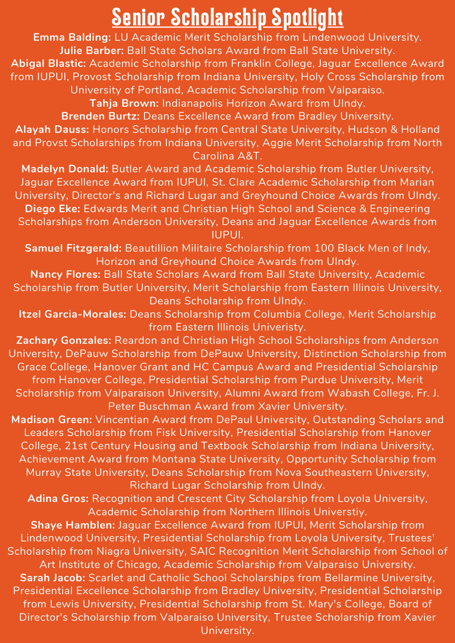## Senior Scholarship Spotlight

**Emma Balding:** LU Academic Merit Scholarship from Lindenwood University. **Julie Barber:** Ball State Scholars Award from Ball State University. **Abigal Blastic:** Academic Scholarship from Franklin College, Jaguar Excellence Award from IUPUI, Provost Scholarship from Indiana University, Holy Cross Scholarship from University of Portland, Academic Scholarship from Valparaiso.

**Tahja Brown:** Indianapolis Horizon Award from UIndy.

**Brenden Burtz:** Deans Excellence Award from Bradley University. **Alayah Dauss:** Honors Scholarship from Central State University, Hudson & Holland and Provst Scholarships from Indiana University, Aggie Merit Scholarship from North Carolina A&T.

**Madelyn Donald:** Butler Award and Academic Scholarship from Butler University, Jaguar Excellence Award from IUPUI, St. Clare Academic Scholarship from Marian University, Director's and Richard Lugar and Greyhound Choice Awards from UIndy. **Diego Eke:** Edwards Merit and Christian High School and Science & Engineering Scholarships from Anderson University, Deans and Jaguar Excellence Awards from IUPUI.

**Samuel Fitzgerald:** Beautillion Militaire Scholarship from 100 Black Men of Indy, Horizon and Greyhound Choice Awards from UIndy.

**Nancy Flores:** Ball State Scholars Award from Ball State University, Academic Scholarship from Butler University, Merit Scholarship from Eastern Illinois University, Deans Scholarship from UIndy.

**Itzel Garcia-Morales:** Deans Scholarship from Columbia College, Merit Scholarship from Eastern Illinois Univeristy.

**Zachary Gonzales:** Reardon and Christian High School Scholarships from Anderson University, DePauw Scholarship from DePauw University, Distinction Scholarship from Grace College, Hanover Grant and HC Campus Award and Presidential Scholarship from Hanover College, Presidential Scholarship from Purdue University, Merit Scholarship from Valparaison University, Alumni Award from Wabash College, Fr. J. Peter Buschman Award from Xavier University.

**Madison Green:** Vincentian Award from DePaul University, Outstanding Scholars and Leaders Scholarship from Fisk University, Presidential Scholarship from Hanover College, 21st Century Housing and Textbook Scholarship from Indiana University, Achievement Award from Montana State University, Opportunity Scholarship from Murray State University, Deans Scholarship from Nova Southeastern University, Richard Lugar Scholarship from UIndy.

**Adina Gros:** Recognition and Crescent City Scholarship from Loyola University, Academic Scholarship from Northern Illinois Universtiy.

**Shaye Hamblen:** Jaguar Excellence Award from IUPUI, Merit Scholarship from Lindenwood University, Presidential Scholarship from Loyola University, Trustees' Scholarship from Niagra University, SAIC Recognition Merit Scholarship from School of Art Institute of Chicago, Academic Scholarship from Valparaiso University. **Sarah Jacob:** Scarlet and Catholic School Scholarships from Bellarmine University, Presidential Excellence Scholarship from Bradley University, Presidential Scholarship from Lewis University, Presidential Scholarship from St. Mary's College, Board of Director's Scholarship from Valparaiso University, Trustee Scholarship from Xavier University.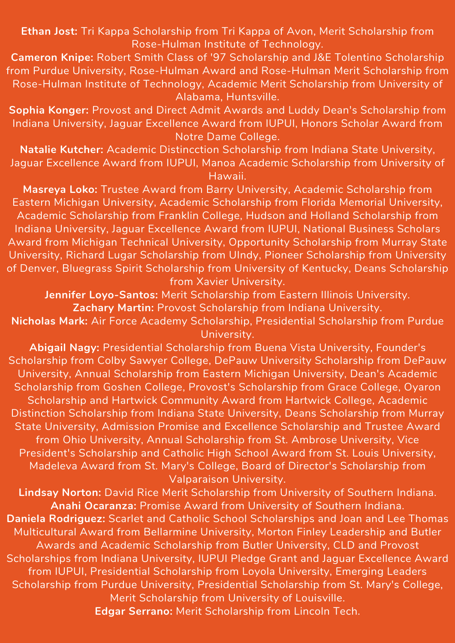**Ethan Jost:** Tri Kappa Scholarship from Tri Kappa of Avon, Merit Scholarship from Rose-Hulman Institute of Technology.

**Cameron Knipe:** Robert Smith Class of '97 Scholarship and J&E Tolentino Scholarship from Purdue University, Rose-Hulman Award and Rose-Hulman Merit Scholarship from Rose-Hulman Institute of Technology, Academic Merit Scholarship from University of Alabama, Huntsville.

**Sophia Konger:** Provost and Direct Admit Awards and Luddy Dean's Scholarship from Indiana University, Jaguar Excellence Award from IUPUI, Honors Scholar Award from Notre Dame College.

**Natalie Kutcher:** Academic Distincction Scholarship from Indiana State University, Jaguar Excellence Award from IUPUI, Manoa Academic Scholarship from University of Hawaii.

**Masreya Loko:** Trustee Award from Barry University, Academic Scholarship from Eastern Michigan University, Academic Scholarship from Florida Memorial University, Academic Scholarship from Franklin College, Hudson and Holland Scholarship from Indiana University, Jaguar Excellence Award from IUPUI, National Business Scholars Award from Michigan Technical University, Opportunity Scholarship from Murray State University, Richard Lugar Scholarship from UIndy, Pioneer Scholarship from University of Denver, Bluegrass Spirit Scholarship from University of Kentucky, Deans Scholarship from Xavier University.

**Jennifer Loyo-Santos:** Merit Scholarship from Eastern Illinois University. **Zachary Martin:** Provost Scholarship from Indiana University.

**Nicholas Mark:** Air Force Academy Scholarship, Presidential Scholarship from Purdue University.

**Abigail Nagy:** Presidential Scholarship from Buena Vista University, Founder's Scholarship from Colby Sawyer College, DePauw University Scholarship from DePauw University, Annual Scholarship from Eastern Michigan University, Dean's Academic Scholarship from Goshen College, Provost's Scholarship from Grace College, Oyaron Scholarship and Hartwick Community Award from Hartwick College, Academic Distinction Scholarship from Indiana State University, Deans Scholarship from Murray State University, Admission Promise and Excellence Scholarship and Trustee Award from Ohio University, Annual Scholarship from St. Ambrose University, Vice President's Scholarship and Catholic High School Award from St. Louis University, Madeleva Award from St. Mary's College, Board of Director's Scholarship from Valparaison University.

**Lindsay Norton:** David Rice Merit Scholarship from University of Southern Indiana. **Anahi Ocaranza:** Promise Award from University of Southern Indiana. **Daniela Rodriguez:** Scarlet and Catholic School Scholarships and Joan and Lee Thomas Multicultural Award from Bellarmine University, Morton Finley Leadership and Butler Awards and Academic Scholarship from Butler University, CLD and Provost Scholarships from Indiana University, IUPUI Pledge Grant and Jaguar Excellence Award from IUPUI, Presidential Scholarship from Loyola University, Emerging Leaders Scholarship from Purdue University, Presidential Scholarship from St. Mary's College, Merit Scholarship from University of Louisville. **Edgar Serrano:** Merit Scholarship from Lincoln Tech.